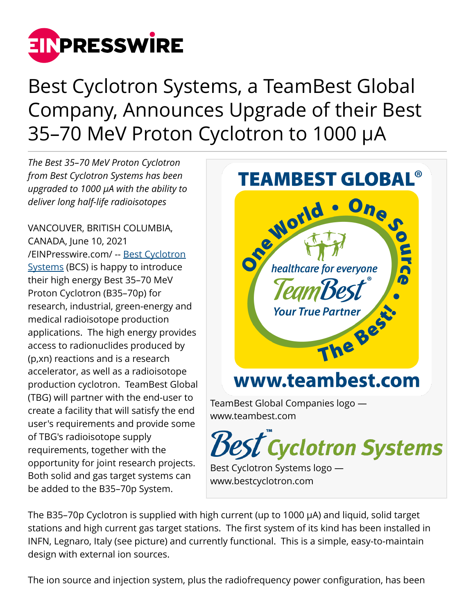

Best Cyclotron Systems, a TeamBest Global Company, Announces Upgrade of their Best 35–70 MeV Proton Cyclotron to 1000 µA

*The Best 35–70 MeV Proton Cyclotron from Best Cyclotron Systems has been upgraded to 1000 µA with the ability to deliver long half-life radioisotopes*

VANCOUVER, BRITISH COLUMBIA, CANADA, June 10, 2021 [/EINPresswire.com/](http://www.einpresswire.com) -- [Best Cyclotron](http://www.bestcyclotron.com) [Systems](http://www.bestcyclotron.com) (BCS) is happy to introduce their high energy Best 35–70 MeV Proton Cyclotron (B35–70p) for research, industrial, green-energy and medical radioisotope production applications. The high energy provides access to radionuclides produced by (p,xn) reactions and is a research accelerator, as well as a radioisotope production cyclotron. TeamBest Global (TBG) will partner with the end-user to create a facility that will satisfy the end user's requirements and provide some of TBG's radioisotope supply requirements, together with the opportunity for joint research projects. Both solid and gas target systems can be added to the B35–70p System.



The B35–70p Cyclotron is supplied with high current (up to 1000 µA) and liquid, solid target stations and high current gas target stations. The first system of its kind has been installed in INFN, Legnaro, Italy (see picture) and currently functional. This is a simple, easy-to-maintain design with external ion sources.

The ion source and injection system, plus the radiofrequency power configuration, has been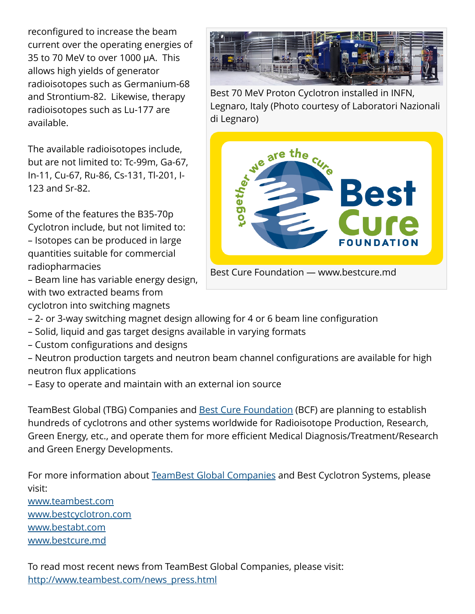reconfigured to increase the beam current over the operating energies of 35 to 70 MeV to over 1000 µA. This allows high yields of generator radioisotopes such as Germanium-68 and Strontium-82. Likewise, therapy radioisotopes such as Lu-177 are available.

The available radioisotopes include, but are not limited to: Tc-99m, Ga-67, In-11, Cu-67, Ru-86, Cs-131, Tl-201, I-123 and Sr-82.

Some of the features the B35-70p Cyclotron include, but not limited to: – Isotopes can be produced in large quantities suitable for commercial radiopharmacies

– Beam line has variable energy design, with two extracted beams from cyclotron into switching magnets



Best 70 MeV Proton Cyclotron installed in INFN, Legnaro, Italy (Photo courtesy of Laboratori Nazionali di Legnaro)



- 2- or 3-way switching magnet design allowing for 4 or 6 beam line configuration
- Solid, liquid and gas target designs available in varying formats
- Custom configurations and designs

– Neutron production targets and neutron beam channel configurations are available for high neutron flux applications

– Easy to operate and maintain with an external ion source

TeamBest Global (TBG) Companies and [Best Cure Foundation](http://www.bestcure.md) (BCF) are planning to establish hundreds of cyclotrons and other systems worldwide for Radioisotope Production, Research, Green Energy, etc., and operate them for more efficient Medical Diagnosis/Treatment/Research and Green Energy Developments.

For more information about [TeamBest Global Companies](http://www.teambest.com) and Best Cyclotron Systems, please visit:

[www.teambest.com](http://www.teambest.com) [www.bestcyclotron.com](http://www.bestcyclotron.com) [www.bestabt.com](http://www.bestabt.com) [www.bestcure.md](http://www.bestcure.md)

To read most recent news from TeamBest Global Companies, please visit: [http://www.teambest.com/news\\_press.html](http://www.teambest.com/news_press.html)